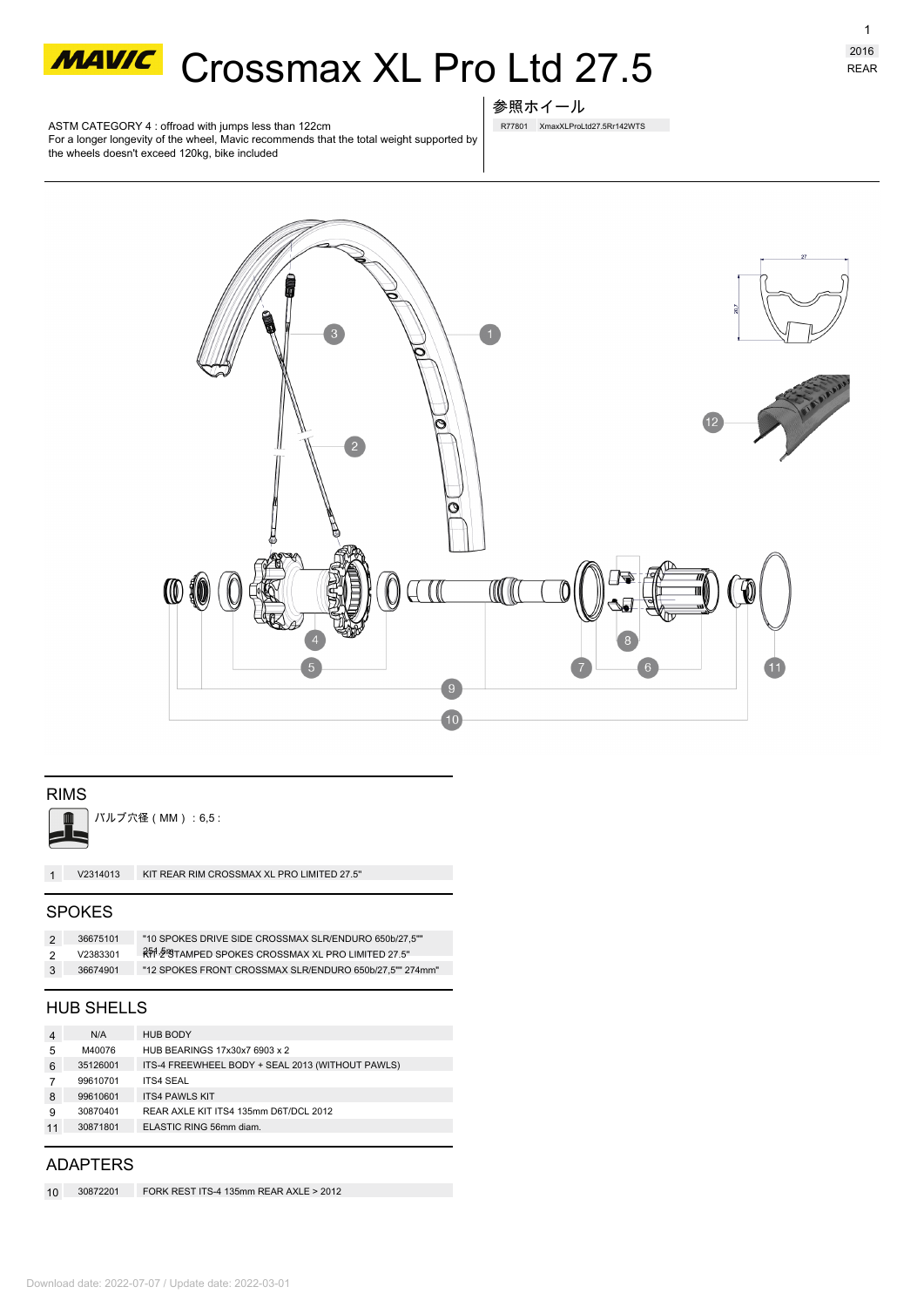

# **MAWC** Crossmax XL Pro Ltd 27.5

ASTM CATEGORY 4 : offroad with jumps less than 122cm For a longer longevity of the wheel, Mavic recommends that the total weight supported by the wheels doesn't exceed 120kg, bike included



R77801 XmaxXLProLtd27.5Rr142WTS



# RIMS



バルブ穴径(MM):6,5 :

**1 V2314013** KIT REAR RIM CROSSMAX XL PRO LIMITED 27.5''

### SPOKES

| -2  | 36675101 | "10 SPOKES DRIVE SIDE CROSSMAX SLR/ENDURO 650b/27.5""   |
|-----|----------|---------------------------------------------------------|
| -2  | V2383301 | RT 2 STAMPED SPOKES CROSSMAX XL PRO LIMITED 27.5"       |
| - 3 | 36674901 | "12 SPOKES FRONT CROSSMAX SLR/ENDURO 650b/27.5"" 274mm" |

## HUB SHELLS

| 4  | N/A      | <b>HUB BODY</b>                                  |
|----|----------|--------------------------------------------------|
| 5  | M40076   | HUB BEARINGS 17x30x7 6903 x 2                    |
| 6  | 35126001 | ITS-4 FREEWHEEL BODY + SEAL 2013 (WITHOUT PAWLS) |
|    | 99610701 | <b>ITS4 SEAL</b>                                 |
| 8  | 99610601 | <b>ITS4 PAWLS KIT</b>                            |
| 9  | 30870401 | REAR AXLE KIT ITS4 135mm D6T/DCL 2012            |
| 11 | 30871801 | ELASTIC RING 56mm diam.                          |
|    |          |                                                  |

# ADAPTERS

**10 30872201** FORK REST ITS-4 135mm REAR AXLE > 2012